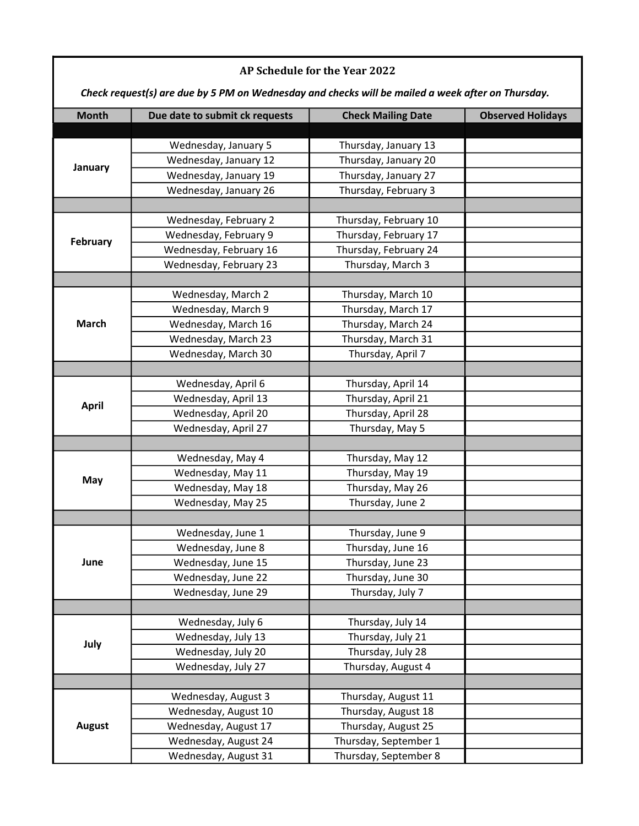| AP Schedule for the Year 2022                                                                     |                                          |                                          |                          |  |  |
|---------------------------------------------------------------------------------------------------|------------------------------------------|------------------------------------------|--------------------------|--|--|
| Check request(s) are due by 5 PM on Wednesday and checks will be mailed a week after on Thursday. |                                          |                                          |                          |  |  |
| <b>Month</b>                                                                                      | Due date to submit ck requests           | <b>Check Mailing Date</b>                | <b>Observed Holidays</b> |  |  |
| January                                                                                           |                                          |                                          |                          |  |  |
|                                                                                                   | Wednesday, January 5                     | Thursday, January 13                     |                          |  |  |
|                                                                                                   | Wednesday, January 12                    | Thursday, January 20                     |                          |  |  |
|                                                                                                   | Wednesday, January 19                    | Thursday, January 27                     |                          |  |  |
|                                                                                                   | Wednesday, January 26                    | Thursday, February 3                     |                          |  |  |
| February                                                                                          | Wednesday, February 2                    | Thursday, February 10                    |                          |  |  |
|                                                                                                   | Wednesday, February 9                    | Thursday, February 17                    |                          |  |  |
|                                                                                                   | Wednesday, February 16                   | Thursday, February 24                    |                          |  |  |
|                                                                                                   | Wednesday, February 23                   | Thursday, March 3                        |                          |  |  |
|                                                                                                   |                                          |                                          |                          |  |  |
| <b>March</b>                                                                                      | Wednesday, March 2<br>Wednesday, March 9 | Thursday, March 10<br>Thursday, March 17 |                          |  |  |
|                                                                                                   | Wednesday, March 16                      | Thursday, March 24                       |                          |  |  |
|                                                                                                   | Wednesday, March 23                      | Thursday, March 31                       |                          |  |  |
|                                                                                                   | Wednesday, March 30                      | Thursday, April 7                        |                          |  |  |
|                                                                                                   |                                          |                                          |                          |  |  |
|                                                                                                   | Wednesday, April 6                       | Thursday, April 14                       |                          |  |  |
|                                                                                                   | Wednesday, April 13                      | Thursday, April 21                       |                          |  |  |
| <b>April</b>                                                                                      | Wednesday, April 20                      | Thursday, April 28                       |                          |  |  |
|                                                                                                   | Wednesday, April 27                      | Thursday, May 5                          |                          |  |  |
|                                                                                                   |                                          |                                          |                          |  |  |
|                                                                                                   | Wednesday, May 4                         | Thursday, May 12                         |                          |  |  |
|                                                                                                   | Wednesday, May 11                        | Thursday, May 19                         |                          |  |  |
| May                                                                                               | Wednesday, May 18                        | Thursday, May 26                         |                          |  |  |
|                                                                                                   | Wednesday, May 25                        | Thursday, June 2                         |                          |  |  |
|                                                                                                   |                                          |                                          |                          |  |  |
|                                                                                                   | Wednesday, June 1                        | Thursday, June 9                         |                          |  |  |
|                                                                                                   | Wednesday, June 8                        | Thursday, June 16                        |                          |  |  |
| June                                                                                              | Wednesday, June 15                       | Thursday, June 23                        |                          |  |  |
|                                                                                                   | Wednesday, June 22                       | Thursday, June 30                        |                          |  |  |
|                                                                                                   | Wednesday, June 29                       | Thursday, July 7                         |                          |  |  |
|                                                                                                   |                                          |                                          |                          |  |  |
|                                                                                                   | Wednesday, July 6                        | Thursday, July 14                        |                          |  |  |
| July                                                                                              | Wednesday, July 13                       | Thursday, July 21                        |                          |  |  |
|                                                                                                   | Wednesday, July 20                       | Thursday, July 28                        |                          |  |  |
|                                                                                                   | Wednesday, July 27                       | Thursday, August 4                       |                          |  |  |
|                                                                                                   |                                          |                                          |                          |  |  |
| <b>August</b>                                                                                     | Wednesday, August 3                      | Thursday, August 11                      |                          |  |  |
|                                                                                                   | Wednesday, August 10                     | Thursday, August 18                      |                          |  |  |
|                                                                                                   | Wednesday, August 17                     | Thursday, August 25                      |                          |  |  |
|                                                                                                   | Wednesday, August 24                     | Thursday, September 1                    |                          |  |  |
|                                                                                                   | Wednesday, August 31                     | Thursday, September 8                    |                          |  |  |

Г